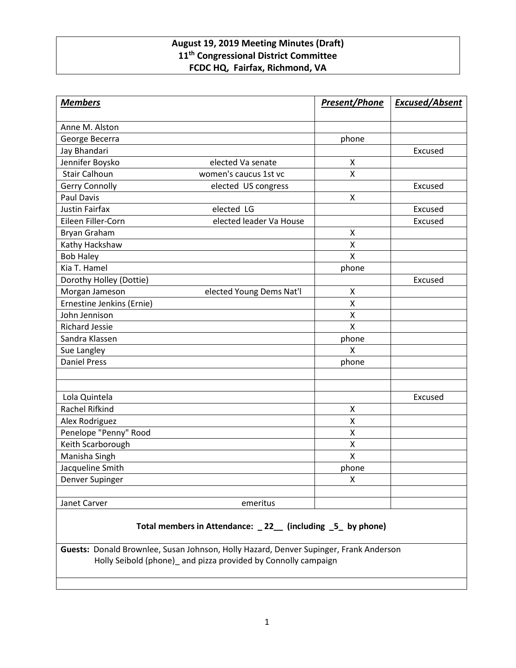# **August 19, 2019 Meeting Minutes (Draft) 11th Congressional District Committee FCDC HQ, Fairfax, Richmond, VA**

| <b>Members</b>            |                          | <b>Present/Phone</b> | <b>Excused/Absent</b> |
|---------------------------|--------------------------|----------------------|-----------------------|
| Anne M. Alston            |                          |                      |                       |
| George Becerra            |                          | phone                |                       |
| Jay Bhandari              |                          |                      | Excused               |
| Jennifer Boysko           | elected Va senate        | X                    |                       |
| <b>Stair Calhoun</b>      | women's caucus 1st vc    | $\mathsf{x}$         |                       |
| <b>Gerry Connolly</b>     | elected US congress      |                      | Excused               |
| <b>Paul Davis</b>         |                          | $\pmb{\mathsf{X}}$   |                       |
| <b>Justin Fairfax</b>     | elected LG               |                      | Excused               |
| Eileen Filler-Corn        | elected leader Va House  |                      | Excused               |
| Bryan Graham              |                          | X                    |                       |
| Kathy Hackshaw            |                          | X                    |                       |
| <b>Bob Haley</b>          |                          | $\mathsf{X}$         |                       |
| Kia T. Hamel              |                          | phone                |                       |
| Dorothy Holley (Dottie)   |                          |                      | Excused               |
| Morgan Jameson            | elected Young Dems Nat'l | $\pmb{\mathsf{X}}$   |                       |
| Ernestine Jenkins (Ernie) |                          | X                    |                       |
| John Jennison             |                          | $\pmb{\mathsf{X}}$   |                       |
| <b>Richard Jessie</b>     |                          | $\pmb{\mathsf{X}}$   |                       |
| Sandra Klassen            |                          | phone                |                       |
| Sue Langley               |                          | X                    |                       |
| <b>Daniel Press</b>       |                          | phone                |                       |
|                           |                          |                      |                       |
|                           |                          |                      |                       |
| Lola Quintela             |                          |                      | Excused               |
| Rachel Rifkind            |                          | X                    |                       |
| Alex Rodriguez            |                          | X                    |                       |
| Penelope "Penny" Rood     |                          | $\pmb{\mathsf{X}}$   |                       |
| Keith Scarborough         |                          | $\pmb{\mathsf{X}}$   |                       |
| Manisha Singh             |                          | $\mathsf{X}$         |                       |
| Jacqueline Smith          |                          | phone                |                       |
| Denver Supinger           |                          | X                    |                       |
|                           |                          |                      |                       |
| Janet Carver              | emeritus                 |                      |                       |

# **Total members in Attendance: \_ 22\_\_ (including \_5\_ by phone)**

**Guests:** Donald Brownlee, Susan Johnson, Holly Hazard, Denver Supinger, Frank Anderson Holly Seibold (phone)\_ and pizza provided by Connolly campaign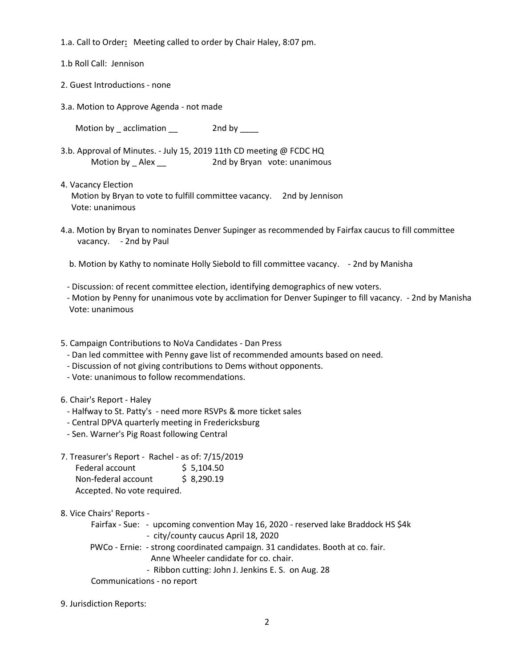1.a. Call to Order**:** Meeting called to order by Chair Haley, 8:07 pm.

1.b Roll Call: Jennison

- 2. Guest Introductions none
- 3.a. Motion to Approve Agenda not made

Motion by \_ acclimation \_\_ 2nd by \_\_\_\_

- 3.b. Approval of Minutes. July 15, 2019 11th CD meeting @ FCDC HQ Motion by \_ Alex \_\_ 2nd by Bryan vote: unanimous
- 4. Vacancy Election Motion by Bryan to vote to fulfill committee vacancy. 2nd by Jennison Vote: unanimous
- 4.a. Motion by Bryan to nominates Denver Supinger as recommended by Fairfax caucus to fill committee vacancy. - 2nd by Paul

b. Motion by Kathy to nominate Holly Siebold to fill committee vacancy. - 2nd by Manisha

- Discussion: of recent committee election, identifying demographics of new voters.

- Motion by Penny for unanimous vote by acclimation for Denver Supinger to fill vacancy. 2nd by Manisha Vote: unanimous
- 5. Campaign Contributions to NoVa Candidates Dan Press
	- Dan led committee with Penny gave list of recommended amounts based on need.
	- Discussion of not giving contributions to Dems without opponents.
	- Vote: unanimous to follow recommendations.

#### 6. Chair's Report - Haley

- Halfway to St. Patty's need more RSVPs & more ticket sales
- Central DPVA quarterly meeting in Fredericksburg
- Sen. Warner's Pig Roast following Central
- 7. Treasurer's Report Rachel as of: 7/15/2019 Federal account \$ 5,104.50 Non-federal account \$ 8,290.19 Accepted. No vote required.

8. Vice Chairs' Reports -

Fairfax - Sue: - upcoming convention May 16, 2020 - reserved lake Braddock HS \$4k - city/county caucus April 18, 2020

 PWCo - Ernie: - strong coordinated campaign. 31 candidates. Booth at co. fair. Anne Wheeler candidate for co. chair.

- Ribbon cutting: John J. Jenkins E. S. on Aug. 28

Communications - no report

9. Jurisdiction Reports: